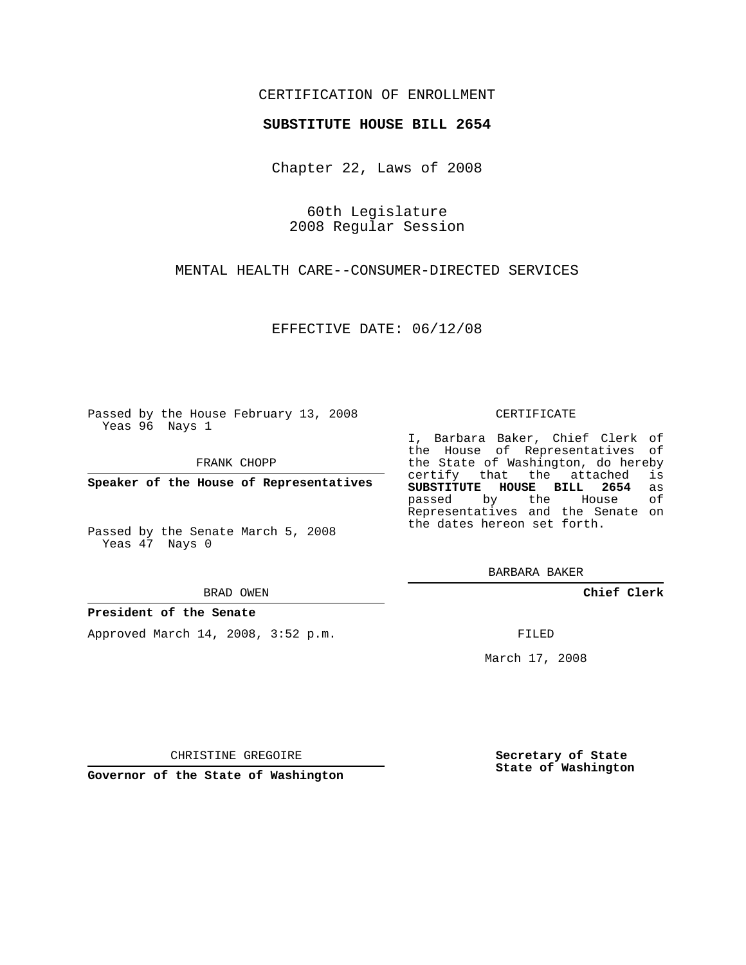## CERTIFICATION OF ENROLLMENT

### **SUBSTITUTE HOUSE BILL 2654**

Chapter 22, Laws of 2008

60th Legislature 2008 Regular Session

MENTAL HEALTH CARE--CONSUMER-DIRECTED SERVICES

EFFECTIVE DATE: 06/12/08

Passed by the House February 13, 2008 Yeas 96 Nays 1

FRANK CHOPP

**Speaker of the House of Representatives**

Passed by the Senate March 5, 2008 Yeas 47 Nays 0

#### BRAD OWEN

#### **President of the Senate**

Approved March 14, 2008, 3:52 p.m.

#### CERTIFICATE

I, Barbara Baker, Chief Clerk of the House of Representatives of the State of Washington, do hereby certify that the attached is **SUBSTITUTE HOUSE BILL 2654** as passed by the House Representatives and the Senate on the dates hereon set forth.

BARBARA BAKER

**Chief Clerk**

FILED

March 17, 2008

CHRISTINE GREGOIRE

**Governor of the State of Washington**

**Secretary of State State of Washington**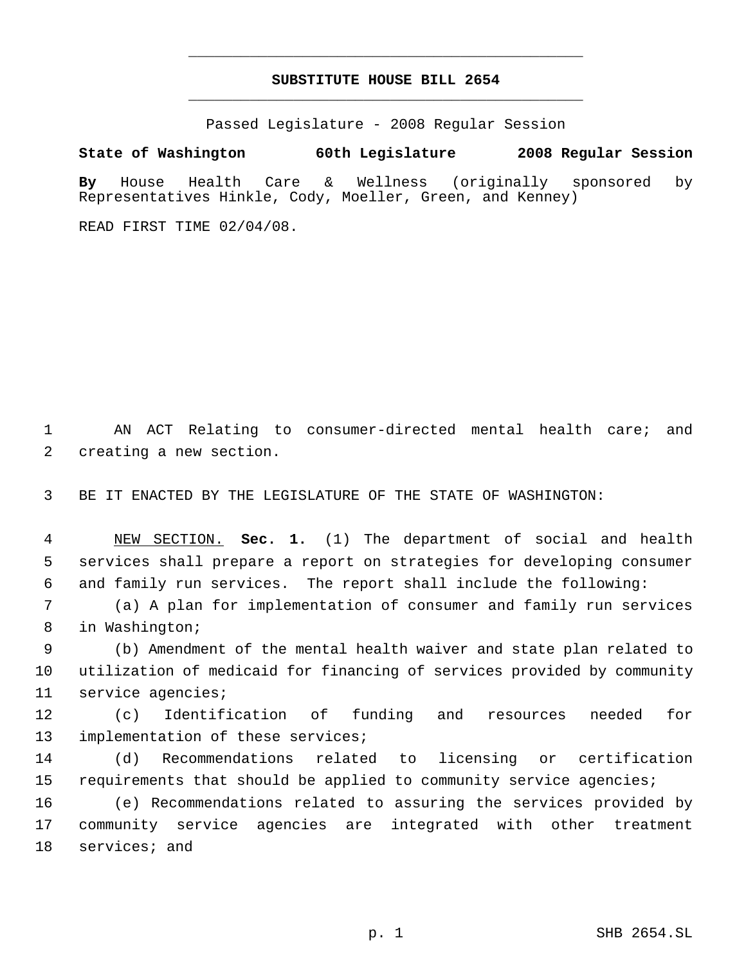# **SUBSTITUTE HOUSE BILL 2654** \_\_\_\_\_\_\_\_\_\_\_\_\_\_\_\_\_\_\_\_\_\_\_\_\_\_\_\_\_\_\_\_\_\_\_\_\_\_\_\_\_\_\_\_\_

\_\_\_\_\_\_\_\_\_\_\_\_\_\_\_\_\_\_\_\_\_\_\_\_\_\_\_\_\_\_\_\_\_\_\_\_\_\_\_\_\_\_\_\_\_

Passed Legislature - 2008 Regular Session

**State of Washington 60th Legislature 2008 Regular Session**

**By** House Health Care & Wellness (originally sponsored by Representatives Hinkle, Cody, Moeller, Green, and Kenney)

READ FIRST TIME 02/04/08.

 AN ACT Relating to consumer-directed mental health care; and creating a new section.

BE IT ENACTED BY THE LEGISLATURE OF THE STATE OF WASHINGTON:

 NEW SECTION. **Sec. 1.** (1) The department of social and health services shall prepare a report on strategies for developing consumer and family run services. The report shall include the following:

 (a) A plan for implementation of consumer and family run services in Washington;

 (b) Amendment of the mental health waiver and state plan related to utilization of medicaid for financing of services provided by community service agencies;

 (c) Identification of funding and resources needed for 13 implementation of these services;

 (d) Recommendations related to licensing or certification requirements that should be applied to community service agencies;

 (e) Recommendations related to assuring the services provided by community service agencies are integrated with other treatment services; and